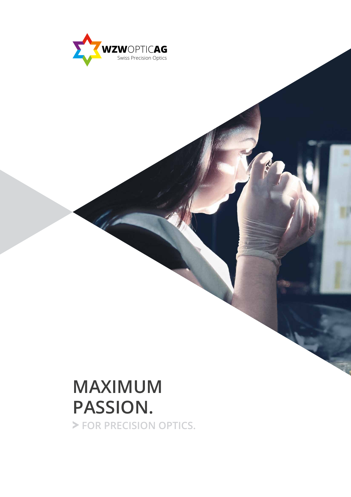

# **MAXIMUM PASSION.**

 **FOR PRECISION OPTICS.**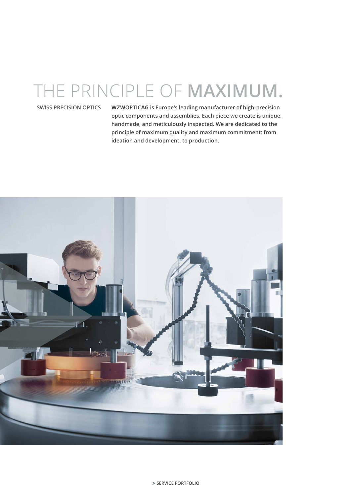## THE PRINCIPLE OF **MAXIMUM.**

### **SWISS PRECISION OPTICS**

**WZWOPTICAG is Europe's leading manufacturer of high-precision optic components and assemblies. Each piece we create is unique, handmade, and meticulously inspected. We are dedicated to the principle of maximum quality and maximum commitment: from ideation and development, to production.**

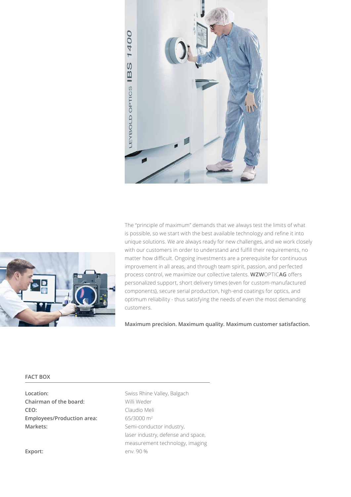



The "principle of maximum" demands that we always test the limits of what is possible, so we start with the best available technology and refine it into unique solutions. We are always ready for new challenges, and we work closely with our customers in order to understand and fulfill their requirements, no matter how difficult. Ongoing investments are a prerequisite for continuous improvement in all areas, and through team spirit, passion, and perfected process control, we maximize our collective talents. **WZW**OPTIC**AG** offers personalized support, short delivery times (even for custom-manufactured components), secure serial production, high-end coatings for optics, and optimum reliability - thus satisfying the needs of even the most demanding customers.

**Maximum precision. Maximum quality. Maximum customer satisfaction.**

#### **FACT BOX**

**Location:** Swiss Rhine Valley, Balgach **Chairman of the board:** Willi Weder **CEO:** Claudio Meli **Employees/Production area:** 65/3000 m2 Markets: Markets: Semi-conductor industry,

laser industry, defense and space, measurement technology, imaging Export: env. 90 %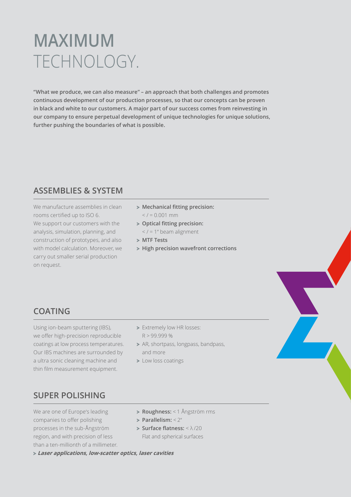## **MAXIMUM** TECHNOLOGY.

**"What we produce, we can also measure" – an approach that both challenges and promotes continuous development of our production processes, so that our concepts can be proven in black and white to our customers. A major part of our success comes from reinvesting in our company to ensure perpetual development of unique technologies for unique solutions, further pushing the boundaries of what is possible.**

## **ASSEMBLIES & SYSTEM**

We manufacture assemblies in clean rooms certified up to ISO 6. We support our customers with the analysis, simulation, planning, and construction of prototypes, and also with model calculation. Moreover, we carry out smaller serial production on request.

- **Mechanical fitting precision:**  $<$  / = 0.001 mm
- **Optical fitting precision:**
	- $\langle$  / = 1" beam alignment
- **MTF Tests**
- **High precision wavefront corrections**

## **COATING**

Using ion-beam sputtering (IBS), we offer high-precision reproducible coatings at low process temperatures. Our IBS machines are surrounded by a ultra sonic cleaning machine and thin film measurement equipment.

- > Extremely low HR losses: R > 99.999 %
- > AR, shortpass, longpass, bandpass, and more
- > Low loss coatings

## **SUPER POLISHING**

We are one of Europe's leading companies to offer polishing processes in the sub-Ångström region, and with precision of less than a ten-millionth of a millimeter.

- **Roughness:** < 1 Ångström rms
- **Parallelism:** < 2''
- **Surface flatness:** < λ /20 Flat and spherical surfaces

**Laser applications, low-scatter optics, laser cavities**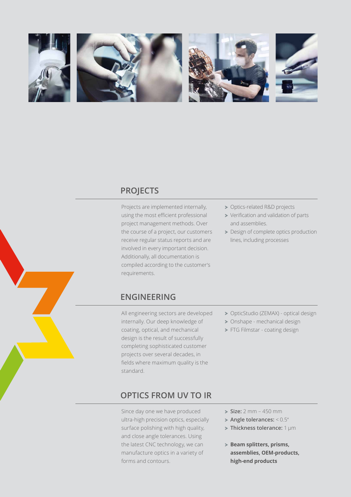







## **PROJECTS**

Projects are implemented internally, using the most efficient professional project management methods. Over the course of a project, our customers receive regular status reports and are involved in every important decision. Additionally, all documentation is compiled according to the customer's requirements.

- > Optics-related R&D projects
- Verification and validation of parts and assemblies.
- > Design of complete optics production lines, including processes



All engineering sectors are developed internally. Our deep knowledge of coating, optical, and mechanical design is the result of successfully completing sophisticated customer projects over several decades, in fields where maximum quality is the standard.

## **OPTICS FROM UV TO IR**

Since day one we have produced ultra-high precision optics, especially surface polishing with high quality, and close angle tolerances. Using the latest CNC technology, we can manufacture optics in a variety of forms and contours.

- OpticStudio (ZEMAX) optical design > Onshape - mechanical design
- > FTG Filmstar coating design

- **Size:** 2 mm 450 mm
- **Angle tolerances:** < 0.5''
- **Thickness tolerance:** 1 µm
- **Beam splitters, prisms, assemblies, OEM-products, high-end products**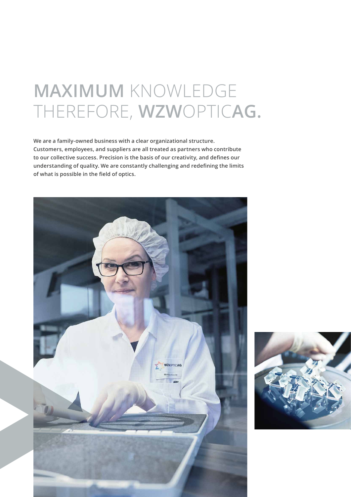## **MAXIMUM** KNOWLEDGE THEREFORE, **WZW**OPTIC**AG.**

**We are a family-owned business with a clear organizational structure. Customers, employees, and suppliers are all treated as partners who contribute to our collective success. Precision is the basis of our creativity, and defines our understanding of quality. We are constantly challenging and redefining the limits of what is possible in the field of optics.**



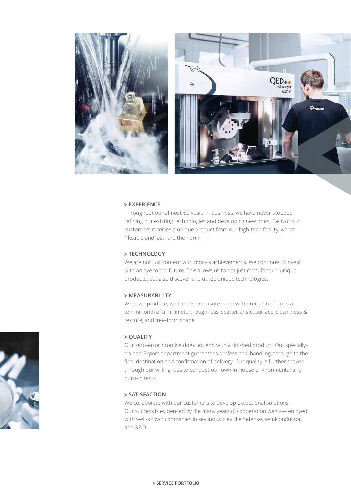

#### **EXPERIENCE**

Throughout our almost 60 years in business, we have never stopped refining our existing technologies and developing new ones. Each of our customers receives a unique product from our high-tech facility, where "flexible and fast" are the norm.

#### **TECHNOLOGY**

We are not just content with today's achievements. We continue to invest with an eye to the future. This allows us to not just manufacture unique products, but also discover and utilize unique technologies.

### **MEASURABILITY**

What we produce, we can also measure - and with precision of up to a ten-millionth of a millimeter: roughness, scatter, angle, surface, cleanliness & texture, and free-form shape.

#### $>$  **QUALITY**

Our zero-error promise does not end with a finished product. Our speciallytrained Export department guarantees professional handling, through to the final destination and confirmation of delivery. Our quality is further proven through our willingness to conduct our own in-house environmental and burn-in tests.

#### **SATISFACTION**

We collaborate with our customers to develop exceptional solutions. Our success is evidenced by the many years of cooperation we have enjoyed with well-known companies in key industries like defense, semiconductor, and R&D.